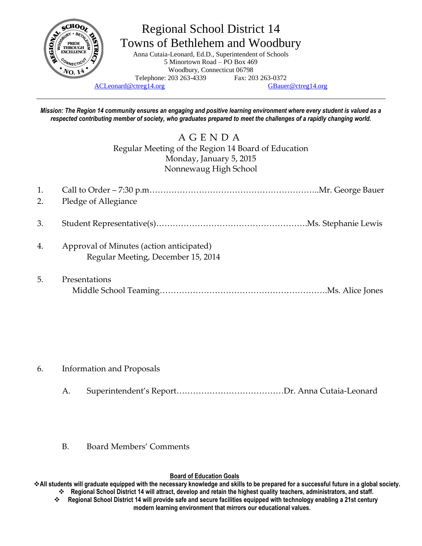

## Regional School District 14 Towns of Bethlehem and Woodbury

Anna Cutaia-Leonard, Ed.D., Superintendent of Schools 5 Minortown Road – PO Box 469 Woodbury, Connecticut 06798 Telephone: 203 263-4339 Fax: 203 263-0372

[ACLeonard@ctreg14.org](mailto:ACLeonard@ctreg14.org) [GBauer@ctreg14.org](mailto:GBauer@ctreg14.org)

*Mission: The Region 14 community ensures an engaging and positive learning environment where every student is valued as a respected contributing member of society, who graduates prepared to meet the challenges of a rapidly changing world.*

## A G E N D A Regular Meeting of the Region 14 Board of Education Monday, January 5, 2015 Nonnewaug High School

| 1.<br>2. | Pledge of Allegiance                                                           |
|----------|--------------------------------------------------------------------------------|
| 3.       |                                                                                |
| 4.       | Approval of Minutes (action anticipated)<br>Regular Meeting, December 15, 2014 |
| 5.       | Presentations                                                                  |

- 6. Information and Proposals
	- A. Superintendent's Report…………………………………Dr. Anna Cutaia-Leonard
	- B. Board Members' Comments

## **Board of Education Goals**

**All students will graduate equipped with the necessary knowledge and skills to be prepared for a successful future in a global society. Regional School District 14 will attract, develop and retain the highest quality teachers, administrators, and staff.**

 **Regional School District 14 will provide safe and secure facilities equipped with technology enabling a 21st century modern learning environment that mirrors our educational values.**